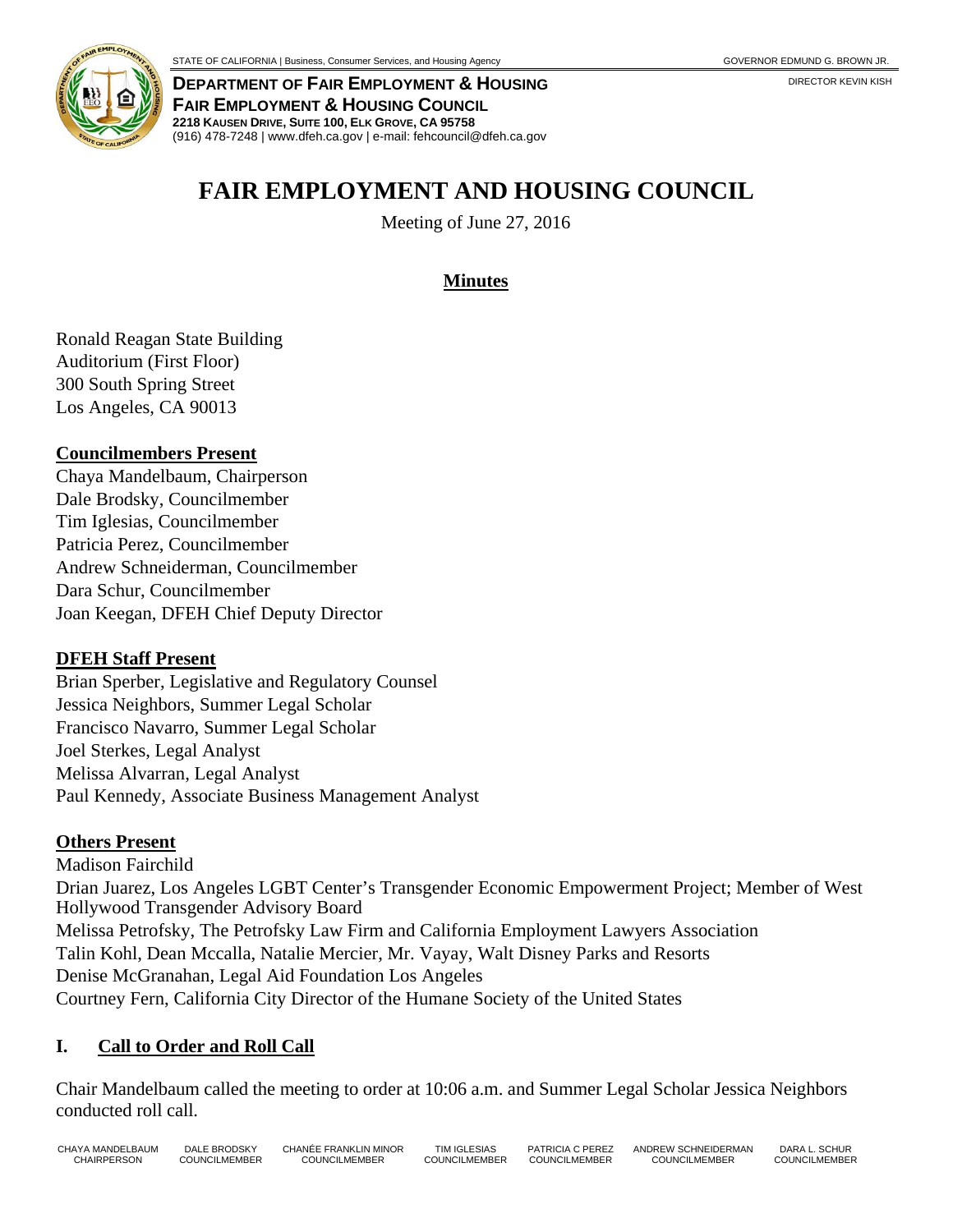

**DEPARTMENT OF FAIR EMPLOYMENT & HOUSING FAIR EMPLOYMENT & HOUSING COUNCIL 2218 KAUSEN DRIVE, SUITE 100, ELK GROVE, CA 95758**  (916) 478-7248 | www.dfeh.ca.gov | e-mail: fehcouncil@dfeh.ca.gov

# **FAIR EMPLOYMENT AND HOUSING COUNCIL**

Meeting of June 27, 2016

## **Minutes**

Ronald Reagan State Building Auditorium (First Floor) 300 South Spring Street Los Angeles, CA 90013

#### **Councilmembers Present**

Chaya Mandelbaum, Chairperson Dale Brodsky, Councilmember Tim Iglesias, Councilmember Patricia Perez, Councilmember Andrew Schneiderman, Councilmember Dara Schur, Councilmember Joan Keegan, DFEH Chief Deputy Director

#### **DFEH Staff Present**

Brian Sperber, Legislative and Regulatory Counsel Jessica Neighbors, Summer Legal Scholar Francisco Navarro, Summer Legal Scholar Joel Sterkes, Legal Analyst Melissa Alvarran, Legal Analyst Paul Kennedy, Associate Business Management Analyst

#### **Others Present**

Madison Fairchild Drian Juarez, Los Angeles LGBT Center's Transgender Economic Empowerment Project; Member of West Hollywood Transgender Advisory Board Melissa Petrofsky, The Petrofsky Law Firm and California Employment Lawyers Association Talin Kohl, Dean Mccalla, Natalie Mercier, Mr. Vayay, Walt Disney Parks and Resorts Denise McGranahan, Legal Aid Foundation Los Angeles Courtney Fern, California City Director of the Humane Society of the United States

#### **I. Call to Order and Roll Call**

Chair Mandelbaum called the meeting to order at 10:06 a.m. and Summer Legal Scholar Jessica Neighbors conducted roll call.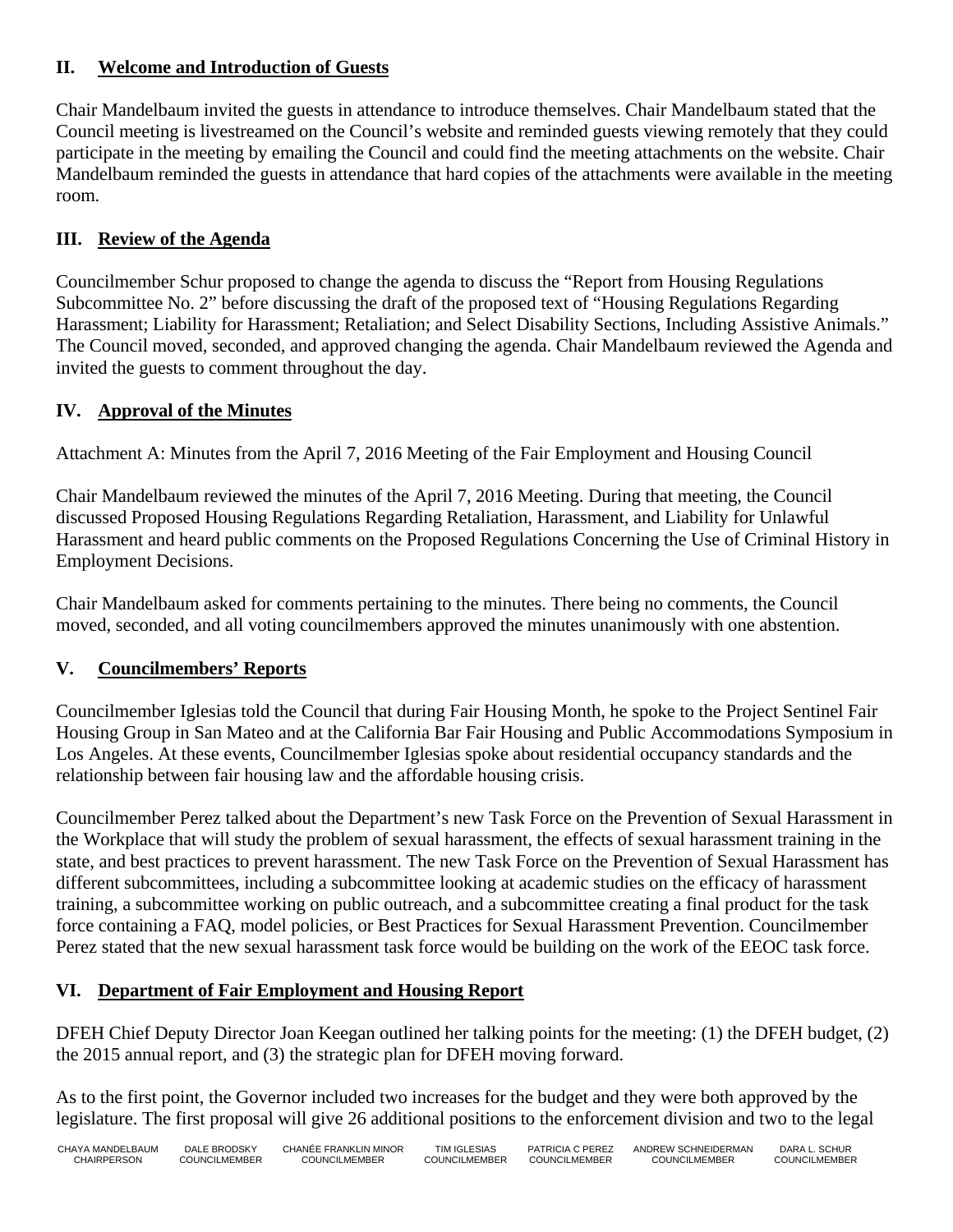#### **II. Welcome and Introduction of Guests**

Chair Mandelbaum invited the guests in attendance to introduce themselves. Chair Mandelbaum stated that the Council meeting is livestreamed on the Council's website and reminded guests viewing remotely that they could participate in the meeting by emailing the Council and could find the meeting attachments on the website. Chair Mandelbaum reminded the guests in attendance that hard copies of the attachments were available in the meeting room.

## **III. Review of the Agenda**

Councilmember Schur proposed to change the agenda to discuss the "Report from Housing Regulations Subcommittee No. 2" before discussing the draft of the proposed text of "Housing Regulations Regarding Harassment; Liability for Harassment; Retaliation; and Select Disability Sections, Including Assistive Animals." The Council moved, seconded, and approved changing the agenda. Chair Mandelbaum reviewed the Agenda and invited the guests to comment throughout the day.

## **IV. Approval of the Minutes**

Attachment A: Minutes from the April 7, 2016 Meeting of the Fair Employment and Housing Council

Chair Mandelbaum reviewed the minutes of the April 7, 2016 Meeting. During that meeting, the Council discussed Proposed Housing Regulations Regarding Retaliation, Harassment, and Liability for Unlawful Harassment and heard public comments on the Proposed Regulations Concerning the Use of Criminal History in Employment Decisions.

Chair Mandelbaum asked for comments pertaining to the minutes. There being no comments, the Council moved, seconded, and all voting councilmembers approved the minutes unanimously with one abstention.

## **V. Councilmembers' Reports**

Councilmember Iglesias told the Council that during Fair Housing Month, he spoke to the Project Sentinel Fair Housing Group in San Mateo and at the California Bar Fair Housing and Public Accommodations Symposium in Los Angeles. At these events, Councilmember Iglesias spoke about residential occupancy standards and the relationship between fair housing law and the affordable housing crisis.

Councilmember Perez talked about the Department's new Task Force on the Prevention of Sexual Harassment in the Workplace that will study the problem of sexual harassment, the effects of sexual harassment training in the state, and best practices to prevent harassment. The new Task Force on the Prevention of Sexual Harassment has different subcommittees, including a subcommittee looking at academic studies on the efficacy of harassment training, a subcommittee working on public outreach, and a subcommittee creating a final product for the task force containing a FAQ, model policies, or Best Practices for Sexual Harassment Prevention. Councilmember Perez stated that the new sexual harassment task force would be building on the work of the EEOC task force.

## **VI. Department of Fair Employment and Housing Report**

DFEH Chief Deputy Director Joan Keegan outlined her talking points for the meeting: (1) the DFEH budget, (2) the 2015 annual report, and (3) the strategic plan for DFEH moving forward.

As to the first point, the Governor included two increases for the budget and they were both approved by the legislature. The first proposal will give 26 additional positions to the enforcement division and two to the legal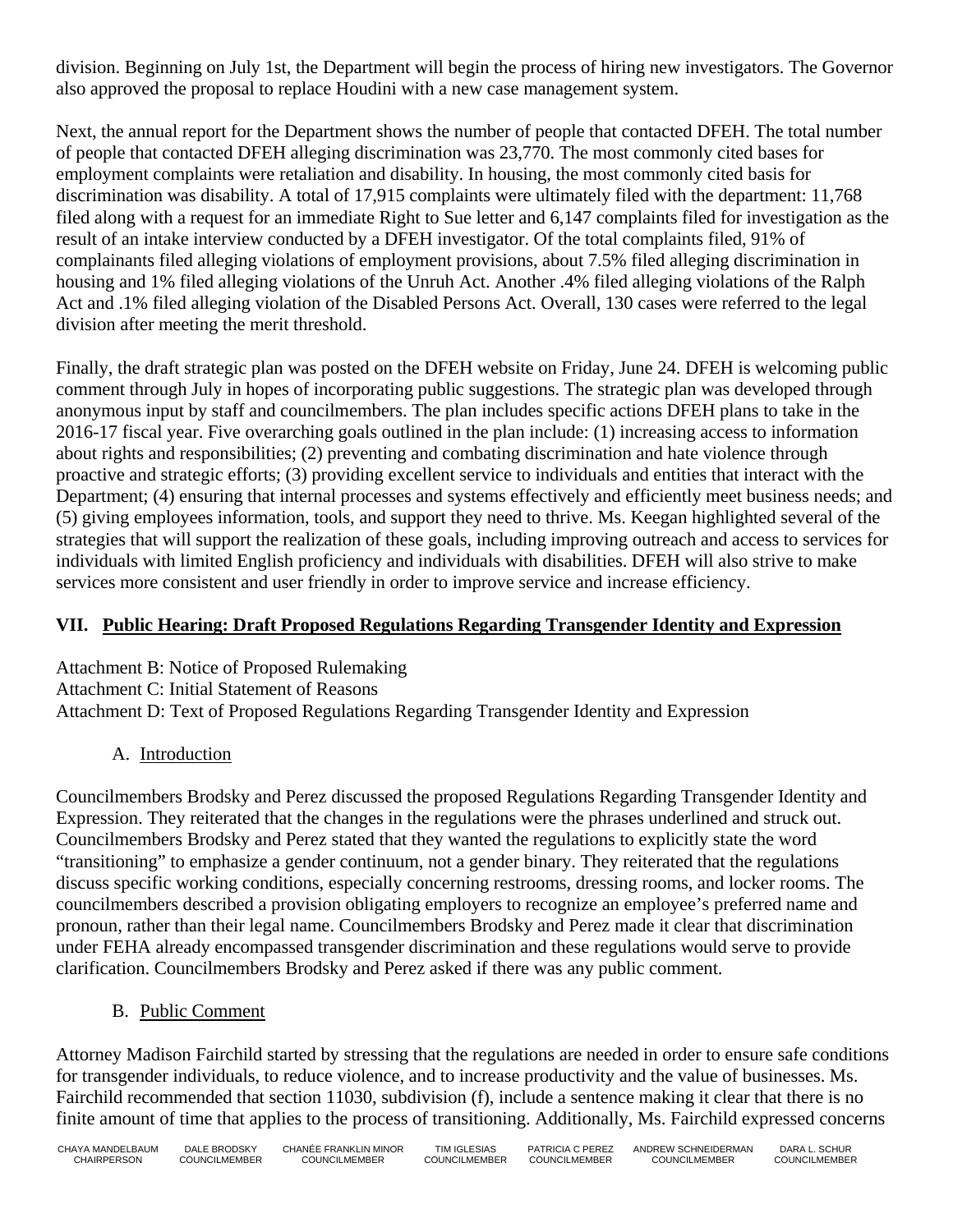division. Beginning on July 1st, the Department will begin the process of hiring new investigators. The Governor also approved the proposal to replace Houdini with a new case management system.

Next, the annual report for the Department shows the number of people that contacted DFEH. The total number of people that contacted DFEH alleging discrimination was 23,770. The most commonly cited bases for employment complaints were retaliation and disability. In housing, the most commonly cited basis for discrimination was disability. A total of 17,915 complaints were ultimately filed with the department: 11,768 filed along with a request for an immediate Right to Sue letter and 6,147 complaints filed for investigation as the result of an intake interview conducted by a DFEH investigator. Of the total complaints filed, 91% of complainants filed alleging violations of employment provisions, about 7.5% filed alleging discrimination in housing and 1% filed alleging violations of the Unruh Act. Another .4% filed alleging violations of the Ralph Act and .1% filed alleging violation of the Disabled Persons Act. Overall, 130 cases were referred to the legal division after meeting the merit threshold.

Finally, the draft strategic plan was posted on the DFEH website on Friday, June 24. DFEH is welcoming public comment through July in hopes of incorporating public suggestions. The strategic plan was developed through anonymous input by staff and councilmembers. The plan includes specific actions DFEH plans to take in the 2016-17 fiscal year. Five overarching goals outlined in the plan include: (1) increasing access to information about rights and responsibilities; (2) preventing and combating discrimination and hate violence through proactive and strategic efforts; (3) providing excellent service to individuals and entities that interact with the Department; (4) ensuring that internal processes and systems effectively and efficiently meet business needs; and (5) giving employees information, tools, and support they need to thrive. Ms. Keegan highlighted several of the strategies that will support the realization of these goals, including improving outreach and access to services for individuals with limited English proficiency and individuals with disabilities. DFEH will also strive to make services more consistent and user friendly in order to improve service and increase efficiency.

## **VII. Public Hearing: Draft Proposed Regulations Regarding Transgender Identity and Expression**

Attachment B: Notice of Proposed Rulemaking Attachment C: Initial Statement of Reasons Attachment D: Text of Proposed Regulations Regarding Transgender Identity and Expression

# A. Introduction

Councilmembers Brodsky and Perez discussed the proposed Regulations Regarding Transgender Identity and Expression. They reiterated that the changes in the regulations were the phrases underlined and struck out. Councilmembers Brodsky and Perez stated that they wanted the regulations to explicitly state the word "transitioning" to emphasize a gender continuum, not a gender binary. They reiterated that the regulations discuss specific working conditions, especially concerning restrooms, dressing rooms, and locker rooms. The councilmembers described a provision obligating employers to recognize an employee's preferred name and pronoun, rather than their legal name. Councilmembers Brodsky and Perez made it clear that discrimination under FEHA already encompassed transgender discrimination and these regulations would serve to provide clarification. Councilmembers Brodsky and Perez asked if there was any public comment.

## B. Public Comment

Attorney Madison Fairchild started by stressing that the regulations are needed in order to ensure safe conditions for transgender individuals, to reduce violence, and to increase productivity and the value of businesses. Ms. Fairchild recommended that section 11030, subdivision (f), include a sentence making it clear that there is no finite amount of time that applies to the process of transitioning. Additionally, Ms. Fairchild expressed concerns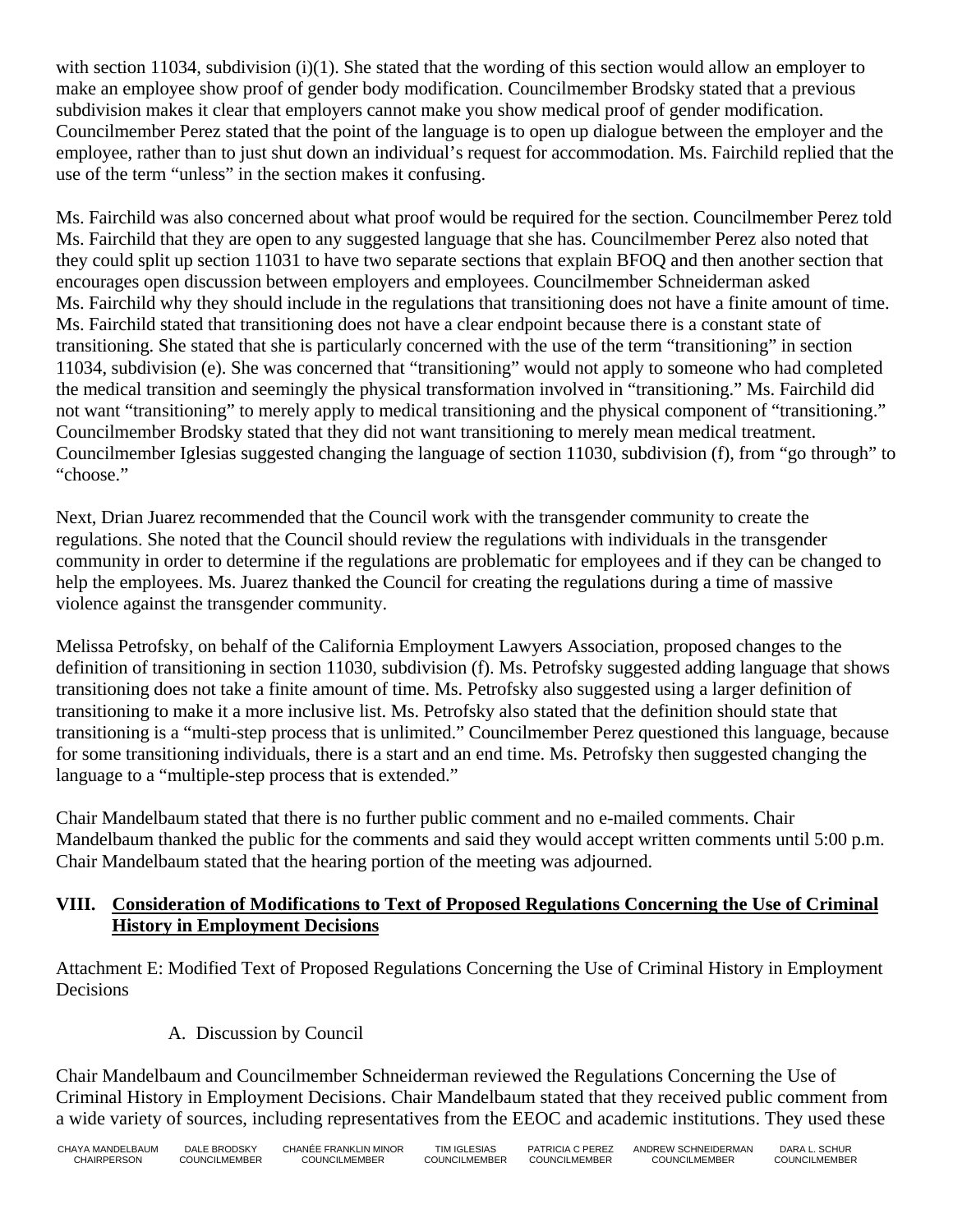with section 11034, subdivision  $(i)(1)$ . She stated that the wording of this section would allow an employer to make an employee show proof of gender body modification. Councilmember Brodsky stated that a previous subdivision makes it clear that employers cannot make you show medical proof of gender modification. Councilmember Perez stated that the point of the language is to open up dialogue between the employer and the employee, rather than to just shut down an individual's request for accommodation. Ms. Fairchild replied that the use of the term "unless" in the section makes it confusing.

Ms. Fairchild was also concerned about what proof would be required for the section. Councilmember Perez told Ms. Fairchild that they are open to any suggested language that she has. Councilmember Perez also noted that they could split up section 11031 to have two separate sections that explain BFOQ and then another section that encourages open discussion between employers and employees. Councilmember Schneiderman asked Ms. Fairchild why they should include in the regulations that transitioning does not have a finite amount of time. Ms. Fairchild stated that transitioning does not have a clear endpoint because there is a constant state of transitioning. She stated that she is particularly concerned with the use of the term "transitioning" in section 11034, subdivision (e). She was concerned that "transitioning" would not apply to someone who had completed the medical transition and seemingly the physical transformation involved in "transitioning." Ms. Fairchild did not want "transitioning" to merely apply to medical transitioning and the physical component of "transitioning." Councilmember Brodsky stated that they did not want transitioning to merely mean medical treatment. Councilmember Iglesias suggested changing the language of section 11030, subdivision (f), from "go through" to "choose."

Next, Drian Juarez recommended that the Council work with the transgender community to create the regulations. She noted that the Council should review the regulations with individuals in the transgender community in order to determine if the regulations are problematic for employees and if they can be changed to help the employees. Ms. Juarez thanked the Council for creating the regulations during a time of massive violence against the transgender community.

Melissa Petrofsky, on behalf of the California Employment Lawyers Association, proposed changes to the definition of transitioning in section 11030, subdivision (f). Ms. Petrofsky suggested adding language that shows transitioning does not take a finite amount of time. Ms. Petrofsky also suggested using a larger definition of transitioning to make it a more inclusive list. Ms. Petrofsky also stated that the definition should state that transitioning is a "multi-step process that is unlimited." Councilmember Perez questioned this language, because for some transitioning individuals, there is a start and an end time. Ms. Petrofsky then suggested changing the language to a "multiple-step process that is extended."

Chair Mandelbaum stated that there is no further public comment and no e-mailed comments. Chair Mandelbaum thanked the public for the comments and said they would accept written comments until 5:00 p.m. Chair Mandelbaum stated that the hearing portion of the meeting was adjourned.

#### **VIII. Consideration of Modifications to Text of Proposed Regulations Concerning the Use of Criminal History in Employment Decisions**

Attachment E: Modified Text of Proposed Regulations Concerning the Use of Criminal History in Employment Decisions

## A. Discussion by Council

Chair Mandelbaum and Councilmember Schneiderman reviewed the Regulations Concerning the Use of Criminal History in Employment Decisions. Chair Mandelbaum stated that they received public comment from a wide variety of sources, including representatives from the EEOC and academic institutions. They used these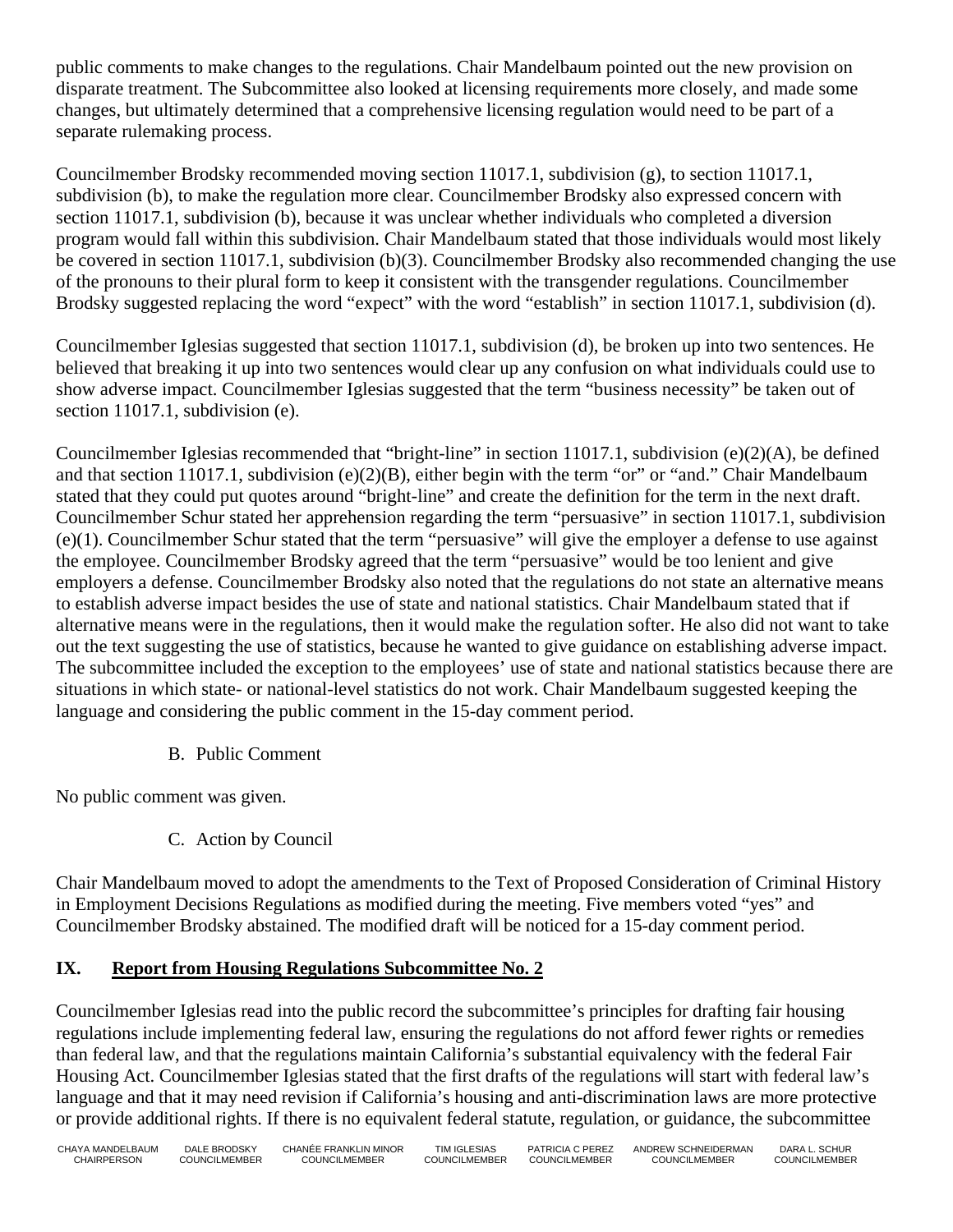public comments to make changes to the regulations. Chair Mandelbaum pointed out the new provision on disparate treatment. The Subcommittee also looked at licensing requirements more closely, and made some changes, but ultimately determined that a comprehensive licensing regulation would need to be part of a separate rulemaking process.

Councilmember Brodsky recommended moving section 11017.1, subdivision (g), to section 11017.1, subdivision (b), to make the regulation more clear. Councilmember Brodsky also expressed concern with section 11017.1, subdivision (b), because it was unclear whether individuals who completed a diversion program would fall within this subdivision. Chair Mandelbaum stated that those individuals would most likely be covered in section 11017.1, subdivision (b)(3). Councilmember Brodsky also recommended changing the use of the pronouns to their plural form to keep it consistent with the transgender regulations. Councilmember Brodsky suggested replacing the word "expect" with the word "establish" in section 11017.1, subdivision (d).

Councilmember Iglesias suggested that section 11017.1, subdivision (d), be broken up into two sentences. He believed that breaking it up into two sentences would clear up any confusion on what individuals could use to show adverse impact. Councilmember Iglesias suggested that the term "business necessity" be taken out of section 11017.1, subdivision (e).

Councilmember Iglesias recommended that "bright-line" in section 11017.1, subdivision (e)(2)(A), be defined and that section 11017.1, subdivision (e)(2)(B), either begin with the term "or" or "and." Chair Mandelbaum stated that they could put quotes around "bright-line" and create the definition for the term in the next draft. Councilmember Schur stated her apprehension regarding the term "persuasive" in section 11017.1, subdivision (e)(1). Councilmember Schur stated that the term "persuasive" will give the employer a defense to use against the employee. Councilmember Brodsky agreed that the term "persuasive" would be too lenient and give employers a defense. Councilmember Brodsky also noted that the regulations do not state an alternative means to establish adverse impact besides the use of state and national statistics. Chair Mandelbaum stated that if alternative means were in the regulations, then it would make the regulation softer. He also did not want to take out the text suggesting the use of statistics, because he wanted to give guidance on establishing adverse impact. The subcommittee included the exception to the employees' use of state and national statistics because there are situations in which state- or national-level statistics do not work. Chair Mandelbaum suggested keeping the language and considering the public comment in the 15-day comment period.

B. Public Comment

No public comment was given.

C. Action by Council

Chair Mandelbaum moved to adopt the amendments to the Text of Proposed Consideration of Criminal History in Employment Decisions Regulations as modified during the meeting. Five members voted "yes" and Councilmember Brodsky abstained. The modified draft will be noticed for a 15-day comment period.

# **IX. Report from Housing Regulations Subcommittee No. 2**

Councilmember Iglesias read into the public record the subcommittee's principles for drafting fair housing regulations include implementing federal law, ensuring the regulations do not afford fewer rights or remedies than federal law, and that the regulations maintain California's substantial equivalency with the federal Fair Housing Act. Councilmember Iglesias stated that the first drafts of the regulations will start with federal law's language and that it may need revision if California's housing and anti-discrimination laws are more protective or provide additional rights. If there is no equivalent federal statute, regulation, or guidance, the subcommittee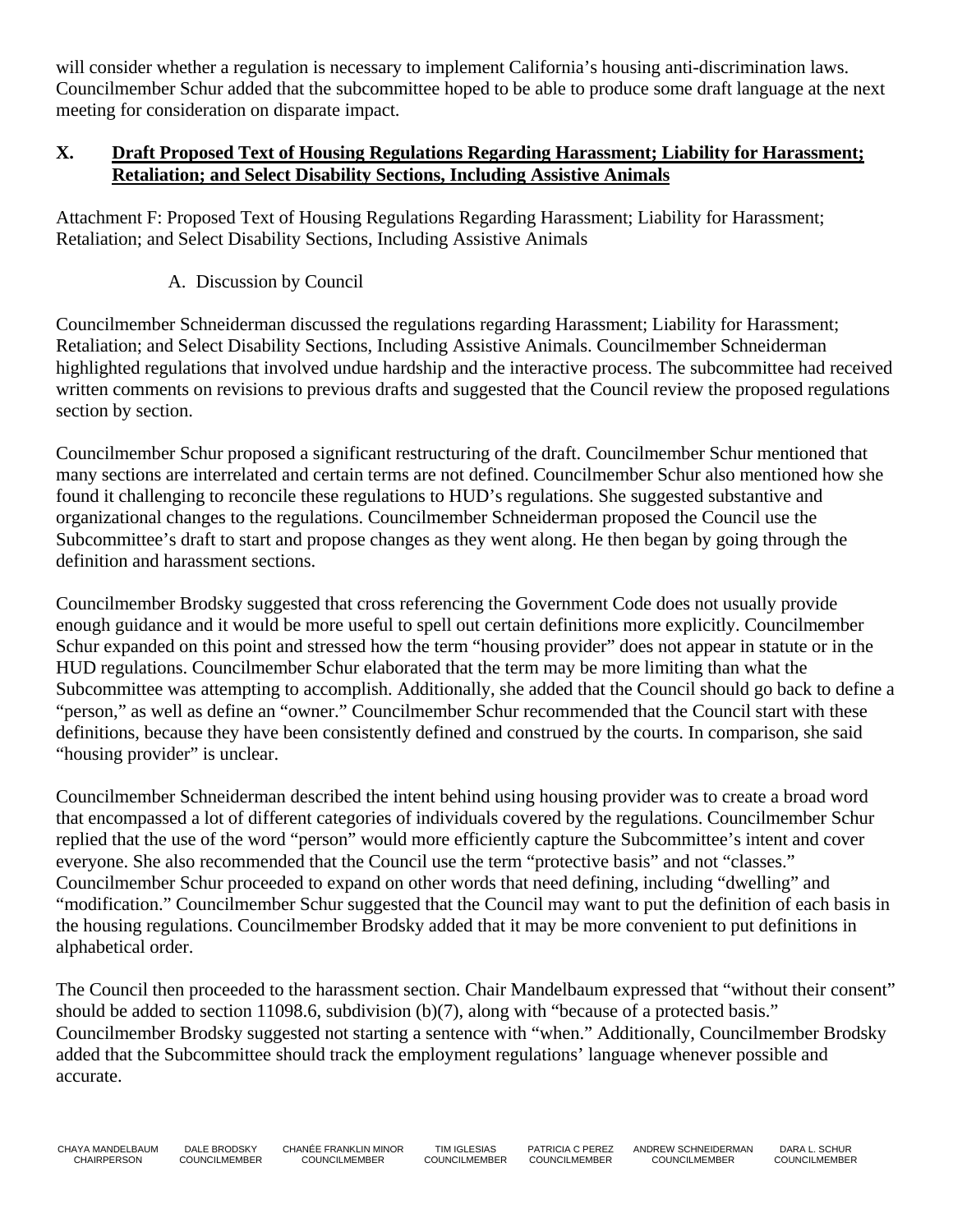will consider whether a regulation is necessary to implement California's housing anti-discrimination laws. Councilmember Schur added that the subcommittee hoped to be able to produce some draft language at the next meeting for consideration on disparate impact.

#### **X. Draft Proposed Text of Housing Regulations Regarding Harassment; Liability for Harassment; Retaliation; and Select Disability Sections, Including Assistive Animals**

Attachment F: Proposed Text of Housing Regulations Regarding Harassment; Liability for Harassment; Retaliation; and Select Disability Sections, Including Assistive Animals

A. Discussion by Council

Councilmember Schneiderman discussed the regulations regarding Harassment; Liability for Harassment; Retaliation; and Select Disability Sections, Including Assistive Animals. Councilmember Schneiderman highlighted regulations that involved undue hardship and the interactive process. The subcommittee had received written comments on revisions to previous drafts and suggested that the Council review the proposed regulations section by section.

Councilmember Schur proposed a significant restructuring of the draft. Councilmember Schur mentioned that many sections are interrelated and certain terms are not defined. Councilmember Schur also mentioned how she found it challenging to reconcile these regulations to HUD's regulations. She suggested substantive and organizational changes to the regulations. Councilmember Schneiderman proposed the Council use the Subcommittee's draft to start and propose changes as they went along. He then began by going through the definition and harassment sections.

Councilmember Brodsky suggested that cross referencing the Government Code does not usually provide enough guidance and it would be more useful to spell out certain definitions more explicitly. Councilmember Schur expanded on this point and stressed how the term "housing provider" does not appear in statute or in the HUD regulations. Councilmember Schur elaborated that the term may be more limiting than what the Subcommittee was attempting to accomplish. Additionally, she added that the Council should go back to define a "person," as well as define an "owner." Councilmember Schur recommended that the Council start with these definitions, because they have been consistently defined and construed by the courts. In comparison, she said "housing provider" is unclear.

Councilmember Schneiderman described the intent behind using housing provider was to create a broad word that encompassed a lot of different categories of individuals covered by the regulations. Councilmember Schur replied that the use of the word "person" would more efficiently capture the Subcommittee's intent and cover everyone. She also recommended that the Council use the term "protective basis" and not "classes." Councilmember Schur proceeded to expand on other words that need defining, including "dwelling" and "modification." Councilmember Schur suggested that the Council may want to put the definition of each basis in the housing regulations. Councilmember Brodsky added that it may be more convenient to put definitions in alphabetical order.

The Council then proceeded to the harassment section. Chair Mandelbaum expressed that "without their consent" should be added to section 11098.6, subdivision (b)(7), along with "because of a protected basis." Councilmember Brodsky suggested not starting a sentence with "when." Additionally, Councilmember Brodsky added that the Subcommittee should track the employment regulations' language whenever possible and accurate.